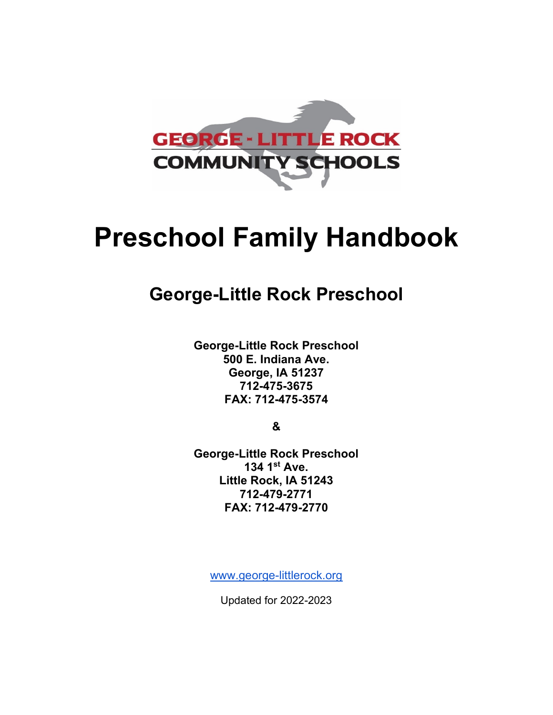

# **Preschool Family Handbook**

# **George-Little Rock Preschool**

**George-Little Rock Preschool 500 E. Indiana Ave. George, IA 51237 712-475-3675 FAX: 712-475-3574**

**&**

**George-Little Rock Preschool 134 1st Ave. Little Rock, IA 51243 712-479-2771 FAX: 712-479-2770**

[www.george-littlerock.org](http://www.george-littlerock.org/)

Updated for 2022-2023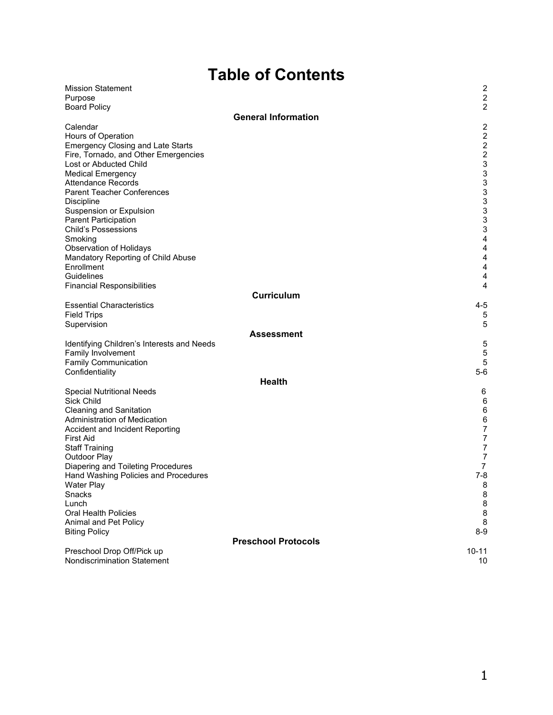# **Table of Contents**

| <b>Mission Statement</b>                   |                            | $\overline{\mathbf{c}}$   |
|--------------------------------------------|----------------------------|---------------------------|
| Purpose                                    |                            | $\boldsymbol{2}$          |
| <b>Board Policy</b>                        |                            | $\boldsymbol{2}$          |
|                                            | <b>General Information</b> |                           |
| Calendar                                   |                            | $\overline{\mathbf{c}}$   |
| Hours of Operation                         |                            | $\boldsymbol{2}$          |
| <b>Emergency Closing and Late Starts</b>   |                            | $\boldsymbol{2}$          |
| Fire, Tornado, and Other Emergencies       |                            | $\boldsymbol{2}$          |
| Lost or Abducted Child                     |                            | 3                         |
| <b>Medical Emergency</b>                   |                            | 3                         |
| <b>Attendance Records</b>                  |                            | 3                         |
| <b>Parent Teacher Conferences</b>          |                            | 3                         |
| <b>Discipline</b>                          |                            | 3                         |
| Suspension or Expulsion                    |                            | 3                         |
| Parent Participation                       |                            | 3                         |
| <b>Child's Possessions</b>                 |                            | $\ensuremath{\mathsf{3}}$ |
| Smoking                                    |                            | $\overline{\mathbf{4}}$   |
| <b>Observation of Holidays</b>             |                            | 4                         |
| Mandatory Reporting of Child Abuse         |                            | 4                         |
| Enrollment                                 |                            | $\overline{\mathbf{4}}$   |
| Guidelines                                 |                            | 4                         |
| <b>Financial Responsibilities</b>          |                            | 4                         |
|                                            | <b>Curriculum</b>          |                           |
| <b>Essential Characteristics</b>           |                            | $4 - 5$                   |
| <b>Field Trips</b>                         |                            | 5                         |
| Supervision                                |                            | 5                         |
|                                            | <b>Assessment</b>          |                           |
| Identifying Children's Interests and Needs |                            | 5                         |
| Family Involvement                         |                            | 5                         |
| <b>Family Communication</b>                |                            | 5                         |
| Confidentiality                            |                            | $5-6$                     |
|                                            | <b>Health</b>              |                           |
| <b>Special Nutritional Needs</b>           |                            | 6                         |
| Sick Child                                 |                            | $\,6$                     |
| <b>Cleaning and Sanitation</b>             |                            | $\,6$                     |
| Administration of Medication               |                            | $\,6$                     |
| Accident and Incident Reporting            |                            | $\boldsymbol{7}$          |
| <b>First Aid</b>                           |                            | $\boldsymbol{7}$          |
| <b>Staff Training</b>                      |                            | $\boldsymbol{7}$          |
| Outdoor Play                               |                            | $\boldsymbol{7}$          |
| Diapering and Toileting Procedures         |                            | $\overline{7}$            |
| Hand Washing Policies and Procedures       |                            | $7 - 8$                   |
| Water Play                                 |                            | 8                         |
| Snacks                                     |                            | $\bf 8$                   |
| Lunch                                      |                            | 8                         |
| <b>Oral Health Policies</b>                |                            | $\,8\,$                   |
| Animal and Pet Policy                      |                            | 8<br>$8-9$                |
| <b>Biting Policy</b>                       | <b>Preschool Protocols</b> |                           |
|                                            |                            |                           |
| Preschool Drop Off/Pick up                 |                            | $10 - 11$                 |
| <b>Nondiscrimination Statement</b>         |                            | 10                        |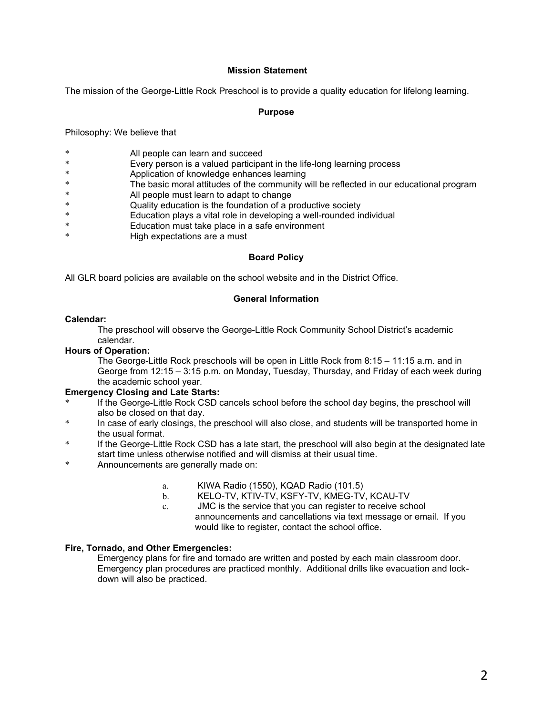#### **Mission Statement**

The mission of the George-Little Rock Preschool is to provide a quality education for lifelong learning.

#### **Purpose**

Philosophy: We believe that

- \* All people can learn and succeed
- \* Every person is a valued participant in the life-long learning process
- \* Application of knowledge enhances learning
- The basic moral attitudes of the community will be reflected in our educational program
- \* All people must learn to adapt to change
- \* Quality education is the foundation of a productive society
- \* Education plays a vital role in developing a well-rounded individual
- Education must take place in a safe environment
- \* High expectations are a must

#### **Board Policy**

All GLR board policies are available on the school website and in the District Office.

#### **General Information**

#### **Calendar:**

The preschool will observe the George-Little Rock Community School District's academic calendar.

#### **Hours of Operation:**

The George-Little Rock preschools will be open in Little Rock from 8:15 – 11:15 a.m. and in George from 12:15 – 3:15 p.m. on Monday, Tuesday, Thursday, and Friday of each week during the academic school year.

#### **Emergency Closing and Late Starts:**

- If the George-Little Rock CSD cancels school before the school day begins, the preschool will also be closed on that day.
- In case of early closings, the preschool will also close, and students will be transported home in the usual format.
- If the George-Little Rock CSD has a late start, the preschool will also begin at the designated late start time unless otherwise notified and will dismiss at their usual time.
- \* Announcements are generally made on:
	- a. KIWA Radio (1550), KQAD Radio (101.5)
	- b. KELO-TV, KTIV-TV, KSFY-TV, KMEG-TV, KCAU-TV
	- c. JMC is the service that you can register to receive school announcements and cancellations via text message or email. If you would like to register, contact the school office.

#### **Fire, Tornado, and Other Emergencies:**

Emergency plans for fire and tornado are written and posted by each main classroom door. Emergency plan procedures are practiced monthly. Additional drills like evacuation and lockdown will also be practiced.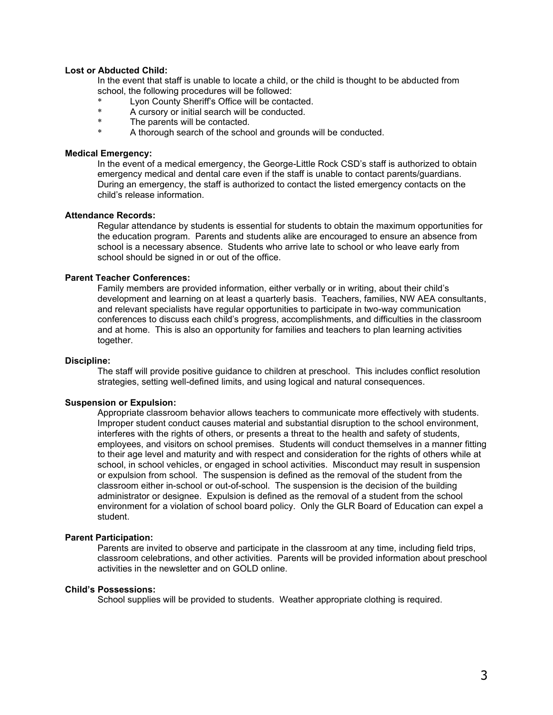#### **Lost or Abducted Child:**

In the event that staff is unable to locate a child, or the child is thought to be abducted from school, the following procedures will be followed:

- \* Lyon County Sheriff's Office will be contacted.
- \* A cursory or initial search will be conducted.
- The parents will be contacted.
- A thorough search of the school and grounds will be conducted.

#### **Medical Emergency:**

In the event of a medical emergency, the George-Little Rock CSD's staff is authorized to obtain emergency medical and dental care even if the staff is unable to contact parents/guardians. During an emergency, the staff is authorized to contact the listed emergency contacts on the child's release information.

#### **Attendance Records:**

Regular attendance by students is essential for students to obtain the maximum opportunities for the education program. Parents and students alike are encouraged to ensure an absence from school is a necessary absence. Students who arrive late to school or who leave early from school should be signed in or out of the office.

#### **Parent Teacher Conferences:**

Family members are provided information, either verbally or in writing, about their child's development and learning on at least a quarterly basis. Teachers, families, NW AEA consultants, and relevant specialists have regular opportunities to participate in two-way communication conferences to discuss each child's progress, accomplishments, and difficulties in the classroom and at home. This is also an opportunity for families and teachers to plan learning activities together.

#### **Discipline:**

The staff will provide positive guidance to children at preschool. This includes conflict resolution strategies, setting well-defined limits, and using logical and natural consequences.

#### **Suspension or Expulsion:**

Appropriate classroom behavior allows teachers to communicate more effectively with students. Improper student conduct causes material and substantial disruption to the school environment, interferes with the rights of others, or presents a threat to the health and safety of students, employees, and visitors on school premises. Students will conduct themselves in a manner fitting to their age level and maturity and with respect and consideration for the rights of others while at school, in school vehicles, or engaged in school activities. Misconduct may result in suspension or expulsion from school. The suspension is defined as the removal of the student from the classroom either in-school or out-of-school. The suspension is the decision of the building administrator or designee. Expulsion is defined as the removal of a student from the school environment for a violation of school board policy. Only the GLR Board of Education can expel a student.

#### **Parent Participation:**

Parents are invited to observe and participate in the classroom at any time, including field trips, classroom celebrations, and other activities. Parents will be provided information about preschool activities in the newsletter and on GOLD online.

#### **Child's Possessions:**

School supplies will be provided to students. Weather appropriate clothing is required.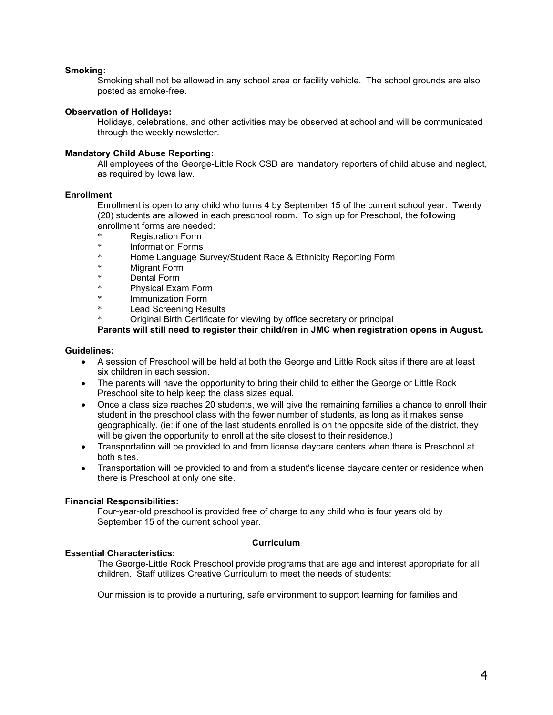#### **Smoking:**

Smoking shall not be allowed in any school area or facility vehicle. The school grounds are also posted as smoke-free.

#### **Observation of Holidays:**

Holidays, celebrations, and other activities may be observed at school and will be communicated through the weekly newsletter.

#### **Mandatory Child Abuse Reporting:**

All employees of the George-Little Rock CSD are mandatory reporters of child abuse and neglect, as required by Iowa law.

#### **Enrollment**

Enrollment is open to any child who turns 4 by September 15 of the current school year. Twenty (20) students are allowed in each preschool room. To sign up for Preschool, the following enrollment forms are needed:

- \* Registration Form
- \* Information Forms
- \* Home Language Survey/Student Race & Ethnicity Reporting Form
- Migrant Form
- \* Dental Form
- \* Physical Exam Form
- Immunization Form
- **Lead Screening Results**
- Original Birth Certificate for viewing by office secretary or principal

**Parents will still need to register their child/ren in JMC when registration opens in August.** 

#### **Guidelines:**

- A session of Preschool will be held at both the George and Little Rock sites if there are at least six children in each session.
- The parents will have the opportunity to bring their child to either the George or Little Rock Preschool site to help keep the class sizes equal.
- Once a class size reaches 20 students, we will give the remaining families a chance to enroll their student in the preschool class with the fewer number of students, as long as it makes sense geographically. (ie: if one of the last students enrolled is on the opposite side of the district, they will be given the opportunity to enroll at the site closest to their residence.)
- Transportation will be provided to and from license daycare centers when there is Preschool at both sites.
- Transportation will be provided to and from a student's license daycare center or residence when there is Preschool at only one site.

#### **Financial Responsibilities:**

Four-year-old preschool is provided free of charge to any child who is four years old by September 15 of the current school year.

### **Essential Characteristics:**

### **Curriculum**

The George-Little Rock Preschool provide programs that are age and interest appropriate for all children. Staff utilizes Creative Curriculum to meet the needs of students:

Our mission is to provide a nurturing, safe environment to support learning for families and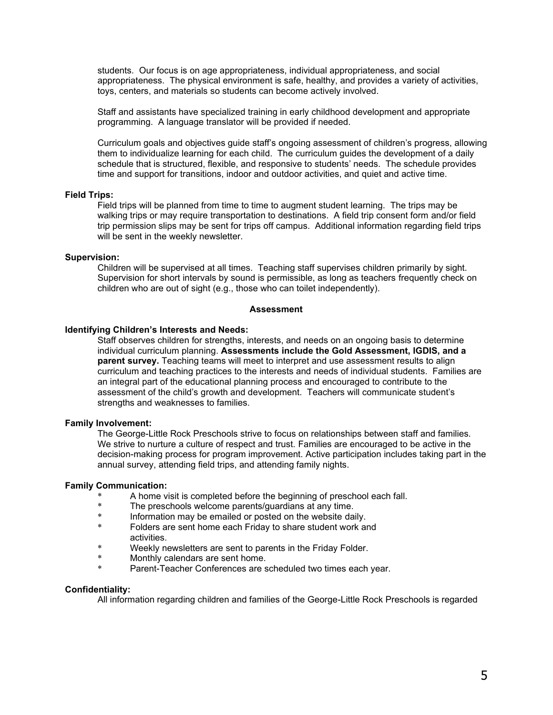students. Our focus is on age appropriateness, individual appropriateness, and social appropriateness. The physical environment is safe, healthy, and provides a variety of activities, toys, centers, and materials so students can become actively involved.

Staff and assistants have specialized training in early childhood development and appropriate programming. A language translator will be provided if needed.

Curriculum goals and objectives guide staff's ongoing assessment of children's progress, allowing them to individualize learning for each child. The curriculum guides the development of a daily schedule that is structured, flexible, and responsive to students' needs. The schedule provides time and support for transitions, indoor and outdoor activities, and quiet and active time.

#### **Field Trips:**

Field trips will be planned from time to time to augment student learning. The trips may be walking trips or may require transportation to destinations. A field trip consent form and/or field trip permission slips may be sent for trips off campus. Additional information regarding field trips will be sent in the weekly newsletter.

#### **Supervision:**

Children will be supervised at all times. Teaching staff supervises children primarily by sight. Supervision for short intervals by sound is permissible, as long as teachers frequently check on children who are out of sight (e.g., those who can toilet independently).

#### **Assessment**

#### **Identifying Children's Interests and Needs:**

Staff observes children for strengths, interests, and needs on an ongoing basis to determine individual curriculum planning. **Assessments include the Gold Assessment, IGDIS, and a parent survey.** Teaching teams will meet to interpret and use assessment results to align curriculum and teaching practices to the interests and needs of individual students. Families are an integral part of the educational planning process and encouraged to contribute to the assessment of the child's growth and development. Teachers will communicate student's strengths and weaknesses to families.

#### **Family Involvement:**

The George-Little Rock Preschools strive to focus on relationships between staff and families. We strive to nurture a culture of respect and trust. Families are encouraged to be active in the decision-making process for program improvement. Active participation includes taking part in the annual survey, attending field trips, and attending family nights.

#### **Family Communication:**

- \* A home visit is completed before the beginning of preschool each fall.<br>\* The preschools welcome parents/quardians at any time
- \* The preschools welcome parents/guardians at any time.
- \* Information may be emailed or posted on the website daily.
- Folders are sent home each Friday to share student work and activities.
- \* Weekly newsletters are sent to parents in the Friday Folder.
- \* Monthly calendars are sent home.
- Parent-Teacher Conferences are scheduled two times each year.

#### **Confidentiality:**

All information regarding children and families of the George-Little Rock Preschools is regarded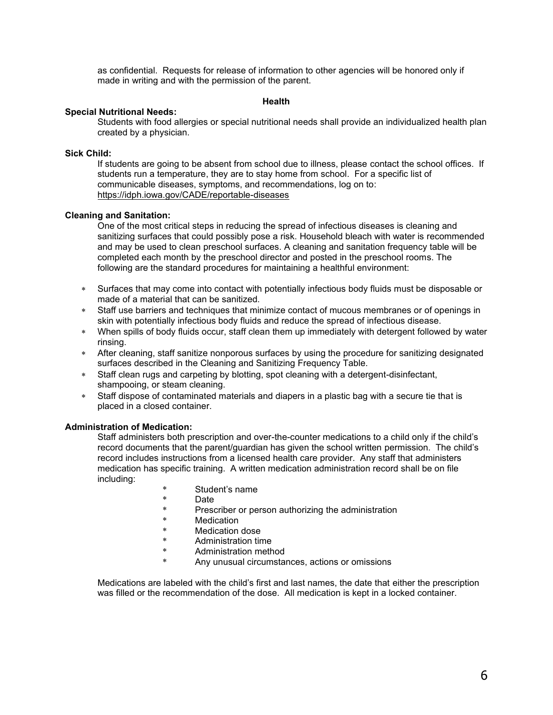as confidential. Requests for release of information to other agencies will be honored only if made in writing and with the permission of the parent.

#### **Health**

#### **Special Nutritional Needs:**

Students with food allergies or special nutritional needs shall provide an individualized health plan created by a physician.

#### **Sick Child:**

If students are going to be absent from school due to illness, please contact the school offices. If students run a temperature, they are to stay home from school. For a specific list of communicable diseases, symptoms, and recommendations, log on to: <https://idph.iowa.gov/CADE/reportable-diseases>

#### **Cleaning and Sanitation:**

One of the most critical steps in reducing the spread of infectious diseases is cleaning and sanitizing surfaces that could possibly pose a risk. Household bleach with water is recommended and may be used to clean preschool surfaces. A cleaning and sanitation frequency table will be completed each month by the preschool director and posted in the preschool rooms. The following are the standard procedures for maintaining a healthful environment:

- Surfaces that may come into contact with potentially infectious body fluids must be disposable or made of a material that can be sanitized.
- Staff use barriers and techniques that minimize contact of mucous membranes or of openings in skin with potentially infectious body fluids and reduce the spread of infectious disease.
- When spills of body fluids occur, staff clean them up immediately with detergent followed by water rinsing.
- After cleaning, staff sanitize nonporous surfaces by using the procedure for sanitizing designated surfaces described in the Cleaning and Sanitizing Frequency Table.
- Staff clean rugs and carpeting by blotting, spot cleaning with a detergent-disinfectant, shampooing, or steam cleaning.
- Staff dispose of contaminated materials and diapers in a plastic bag with a secure tie that is placed in a closed container.

#### **Administration of Medication:**

Staff administers both prescription and over-the-counter medications to a child only if the child's record documents that the parent/guardian has given the school written permission. The child's record includes instructions from a licensed health care provider. Any staff that administers medication has specific training. A written medication administration record shall be on file including:

- \* Student's name
- \* Date<br>\* Press
- Prescriber or person authorizing the administration
- \* Medication
- \* Medication dose
- \* Administration time
- Administration method
- \* Any unusual circumstances, actions or omissions

Medications are labeled with the child's first and last names, the date that either the prescription was filled or the recommendation of the dose. All medication is kept in a locked container.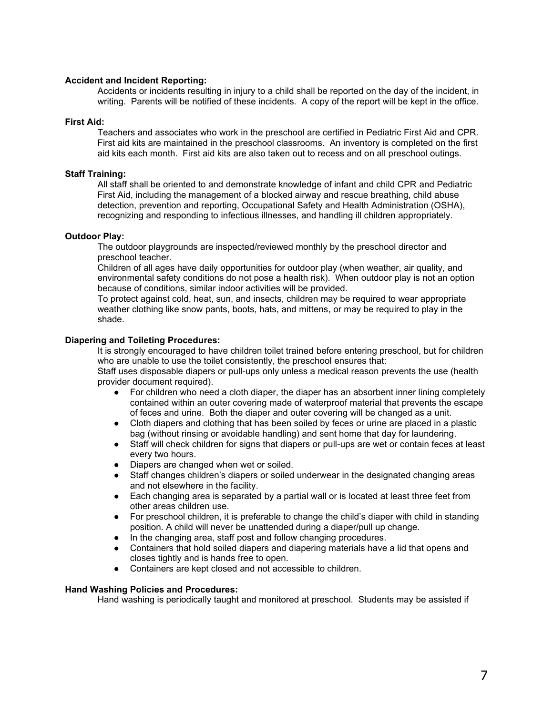#### **Accident and Incident Reporting:**

Accidents or incidents resulting in injury to a child shall be reported on the day of the incident, in writing. Parents will be notified of these incidents. A copy of the report will be kept in the office.

#### **First Aid:**

Teachers and associates who work in the preschool are certified in Pediatric First Aid and CPR. First aid kits are maintained in the preschool classrooms. An inventory is completed on the first aid kits each month. First aid kits are also taken out to recess and on all preschool outings.

#### **Staff Training:**

All staff shall be oriented to and demonstrate knowledge of infant and child CPR and Pediatric First Aid, including the management of a blocked airway and rescue breathing, child abuse detection, prevention and reporting, Occupational Safety and Health Administration (OSHA), recognizing and responding to infectious illnesses, and handling ill children appropriately.

#### **Outdoor Play:**

The outdoor playgrounds are inspected/reviewed monthly by the preschool director and preschool teacher.

Children of all ages have daily opportunities for outdoor play (when weather, air quality, and environmental safety conditions do not pose a health risk). When outdoor play is not an option because of conditions, similar indoor activities will be provided.

To protect against cold, heat, sun, and insects, children may be required to wear appropriate weather clothing like snow pants, boots, hats, and mittens, or may be required to play in the shade.

#### **Diapering and Toileting Procedures:**

It is strongly encouraged to have children toilet trained before entering preschool, but for children who are unable to use the toilet consistently, the preschool ensures that:

Staff uses disposable diapers or pull-ups only unless a medical reason prevents the use (health provider document required).

- For children who need a cloth diaper, the diaper has an absorbent inner lining completely contained within an outer covering made of waterproof material that prevents the escape of feces and urine. Both the diaper and outer covering will be changed as a unit.
- Cloth diapers and clothing that has been soiled by feces or urine are placed in a plastic bag (without rinsing or avoidable handling) and sent home that day for laundering.
- Staff will check children for signs that diapers or pull-ups are wet or contain feces at least every two hours.
- Diapers are changed when wet or soiled.
- Staff changes children's diapers or soiled underwear in the designated changing areas and not elsewhere in the facility.
- Each changing area is separated by a partial wall or is located at least three feet from other areas children use.
- For preschool children, it is preferable to change the child's diaper with child in standing position. A child will never be unattended during a diaper/pull up change.
- In the changing area, staff post and follow changing procedures.
- Containers that hold soiled diapers and diapering materials have a lid that opens and closes tightly and is hands free to open.
- Containers are kept closed and not accessible to children.

#### **Hand Washing Policies and Procedures:**

Hand washing is periodically taught and monitored at preschool. Students may be assisted if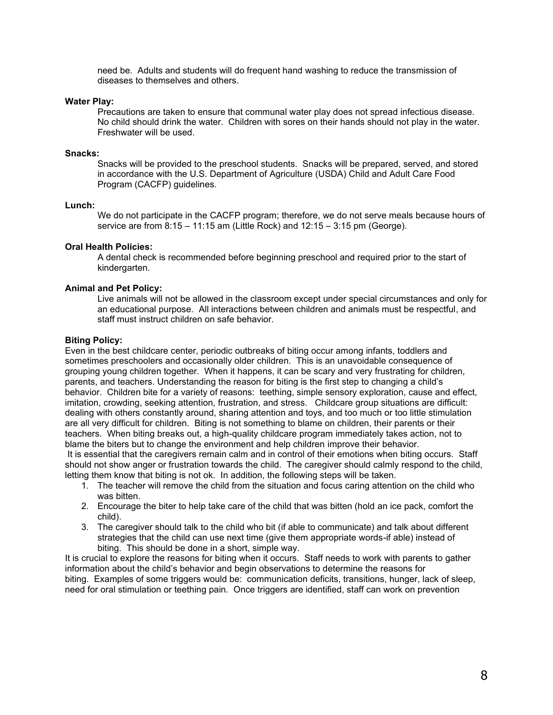need be. Adults and students will do frequent hand washing to reduce the transmission of diseases to themselves and others.

#### **Water Play:**

Precautions are taken to ensure that communal water play does not spread infectious disease. No child should drink the water. Children with sores on their hands should not play in the water. Freshwater will be used.

#### **Snacks:**

Snacks will be provided to the preschool students. Snacks will be prepared, served, and stored in accordance with the U.S. Department of Agriculture (USDA) Child and Adult Care Food Program (CACFP) guidelines.

#### **Lunch:**

We do not participate in the CACFP program; therefore, we do not serve meals because hours of service are from 8:15 – 11:15 am (Little Rock) and 12:15 – 3:15 pm (George).

#### **Oral Health Policies:**

A dental check is recommended before beginning preschool and required prior to the start of kindergarten.

#### **Animal and Pet Policy:**

Live animals will not be allowed in the classroom except under special circumstances and only for an educational purpose. All interactions between children and animals must be respectful, and staff must instruct children on safe behavior.

#### **Biting Policy:**

Even in the best childcare center, periodic outbreaks of biting occur among infants, toddlers and sometimes preschoolers and occasionally older children. This is an unavoidable consequence of grouping young children together. When it happens, it can be scary and very frustrating for children, parents, and teachers. Understanding the reason for biting is the first step to changing a child's behavior. Children bite for a variety of reasons: teething, simple sensory exploration, cause and effect, imitation, crowding, seeking attention, frustration, and stress. Childcare group situations are difficult: dealing with others constantly around, sharing attention and toys, and too much or too little stimulation are all very difficult for children. Biting is not something to blame on children, their parents or their teachers. When biting breaks out, a high-quality childcare program immediately takes action, not to blame the biters but to change the environment and help children improve their behavior.

It is essential that the caregivers remain calm and in control of their emotions when biting occurs. Staff should not show anger or frustration towards the child. The caregiver should calmly respond to the child, letting them know that biting is not ok. In addition, the following steps will be taken.

- 1. The teacher will remove the child from the situation and focus caring attention on the child who was bitten.
- 2. Encourage the biter to help take care of the child that was bitten (hold an ice pack, comfort the child).
- 3. The caregiver should talk to the child who bit (if able to communicate) and talk about different strategies that the child can use next time (give them appropriate words-if able) instead of biting. This should be done in a short, simple way.

It is crucial to explore the reasons for biting when it occurs. Staff needs to work with parents to gather information about the child's behavior and begin observations to determine the reasons for biting. Examples of some triggers would be: communication deficits, transitions, hunger, lack of sleep, need for oral stimulation or teething pain. Once triggers are identified, staff can work on prevention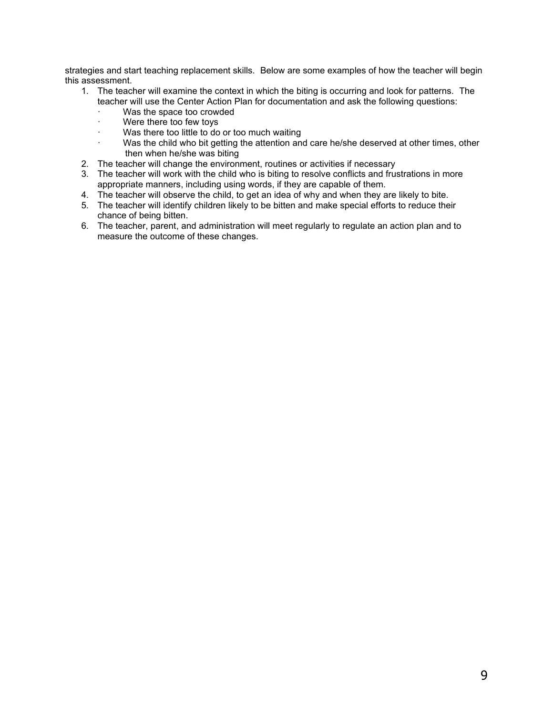strategies and start teaching replacement skills. Below are some examples of how the teacher will begin this assessment.

- 1. The teacher will examine the context in which the biting is occurring and look for patterns. The teacher will use the Center Action Plan for documentation and ask the following questions:
	- · Was the space too crowded
	- · Were there too few toys
	- · Was there too little to do or too much waiting
	- · Was the child who bit getting the attention and care he/she deserved at other times, other then when he/she was biting
- 2. The teacher will change the environment, routines or activities if necessary
- 3. The teacher will work with the child who is biting to resolve conflicts and frustrations in more appropriate manners, including using words, if they are capable of them.
- 4. The teacher will observe the child, to get an idea of why and when they are likely to bite.
- 5. The teacher will identify children likely to be bitten and make special efforts to reduce their chance of being bitten.
- 6. The teacher, parent, and administration will meet regularly to regulate an action plan and to measure the outcome of these changes.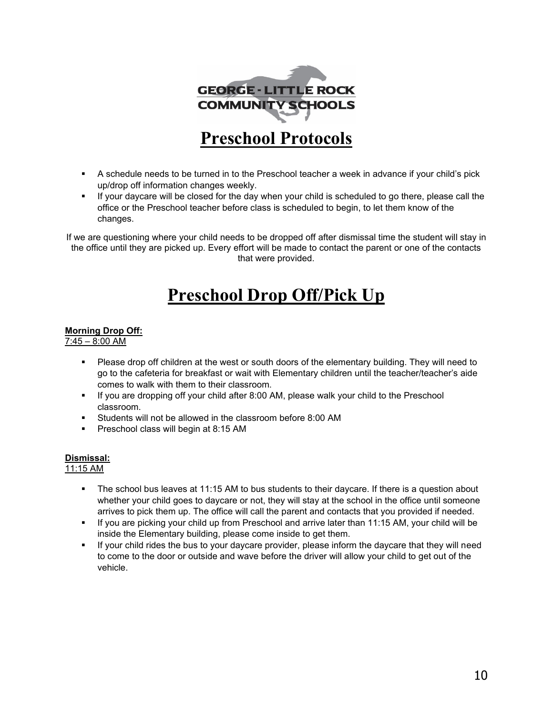

- A schedule needs to be turned in to the Preschool teacher a week in advance if your child's pick up/drop off information changes weekly.
- If your daycare will be closed for the day when your child is scheduled to go there, please call the office or the Preschool teacher before class is scheduled to begin, to let them know of the changes.

If we are questioning where your child needs to be dropped off after dismissal time the student will stay in the office until they are picked up. Every effort will be made to contact the parent or one of the contacts that were provided.

# **Preschool Drop Off/Pick Up**

## **Morning Drop Off:**

7:45 – 8:00 AM

- Please drop off children at the west or south doors of the elementary building. They will need to go to the cafeteria for breakfast or wait with Elementary children until the teacher/teacher's aide comes to walk with them to their classroom.
- **■** If you are dropping off your child after 8:00 AM, please walk your child to the Preschool classroom.
- Students will not be allowed in the classroom before 8:00 AM
- Preschool class will begin at 8:15 AM

# **Dismissal:**

# 11:15 AM

- The school bus leaves at 11:15 AM to bus students to their daycare. If there is a question about whether your child goes to daycare or not, they will stay at the school in the office until someone arrives to pick them up. The office will call the parent and contacts that you provided if needed.
- If you are picking your child up from Preschool and arrive later than 11:15 AM, your child will be inside the Elementary building, please come inside to get them.
- If your child rides the bus to your daycare provider, please inform the daycare that they will need to come to the door or outside and wave before the driver will allow your child to get out of the vehicle.